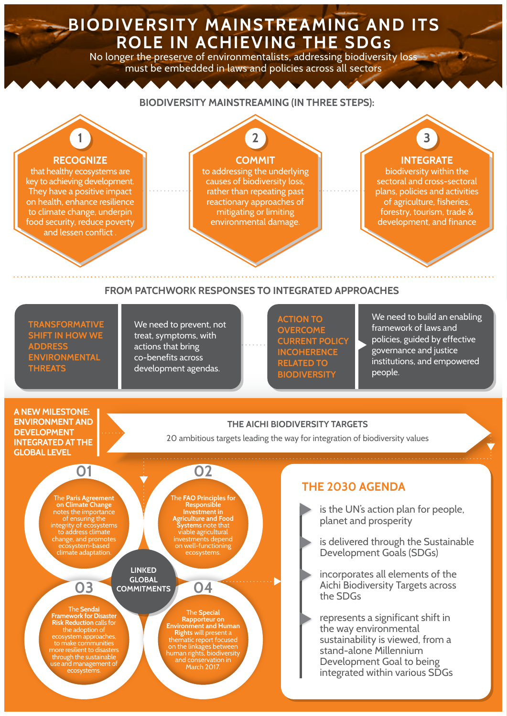# **BIODIVERSITY MAINSTREAMING AND ITS ROLE IN ACHIEVING THE SDGs**

No longer the preserve of environmentalists, addressing biodiversity loss must be embedded in laws and policies across all sectors

#### **BIODIVERSITY MAINSTREAMING (IN THREE STEPS): RECOGNIZE** that healthy ecosystems are key to achieving development. They have a positive impact on health, enhance resilience to climate change, underpin food security, reduce poverty and lessen conflict **1 COMMIT** to addressing the underlying causes of biodiversity loss, rather than repeating past reactionary approaches of mitigating or limiting environmental damage. **2 INTEGRATE**  biodiversity within the sectoral and cross-sectoral plans, policies and activities of agriculture, fisheries, forestry, tourism, trade & development, and finance **3 FROM PATCHWORK RESPONSES TO INTEGRATED APPROACHES**

**TRANSFORMATIVE SHIFT IN HOW WE ADDRESS ENVIRONMENTAL THREATS**

We need to prevent, not treat, symptoms, with actions that bring co-benefits across development agendas.

**ACTION TO OVERCOME CURRENT POLICY INCOHERENCE RELATED TO BIODIVERSITY** 

We need to build an enabling framework of laws and policies, guided by effective governance and justice institutions, and empowered people.

#### **A NEW MILESTONE: ENVIRONMENT AND DEVELOPMENT INTEGRATED AT THE GLOBAL LEVEL**

#### **THE AICHI BIODIVERSITY TARGETS**

20 ambitious targets leading the way for integration of biodiversity values

The **Paris Agreement on Climate Change** notes the importance of ensuring the integrity of ecosystems to address climate change, and promotes ecosystem-based climate adaptation.

**01**

The **FAO Principles for Responsible Investment in Agriculture and Food Systems** note that viable agricultural investments depend on well-functioning ecosystems.

**02**

**LINKED GLOBAL COMMITMENTS**

The **Sendai Framework for Disaster Risk Reduction** calls for the adoption of ecosystem approaches, to make communities more resilient to disasters through the sustainable use and management of ecosystems.

**03**

The **Special Rapporteur on Environment and Human Rights** will present a thematic report focused on the linkages between human rights, biodiversity and conservation in March 2017.

**04**

## **THE 2030 AGENDA**

- is the UN's action plan for people, planet and prosperity
- is delivered through the Sustainable Development Goals (SDGs)
- incorporates all elements of the Aichi Biodiversity Targets across the SDGs
- represents a significant shift in the way environmental sustainability is viewed, from a stand-alone Millennium Development Goal to being integrated within various SDGs